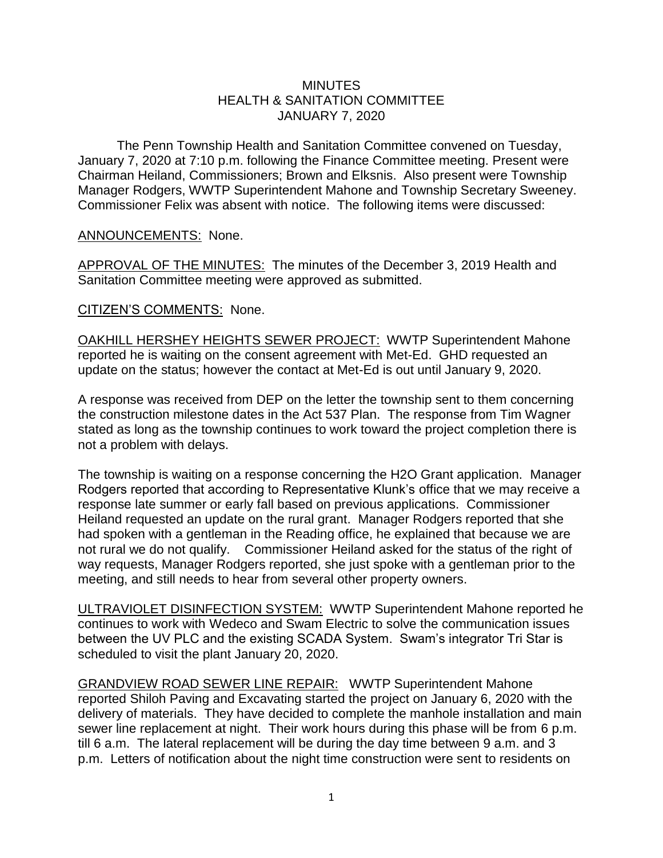## **MINUTES** HEALTH & SANITATION COMMITTEE JANUARY 7, 2020

The Penn Township Health and Sanitation Committee convened on Tuesday, January 7, 2020 at 7:10 p.m. following the Finance Committee meeting. Present were Chairman Heiland, Commissioners; Brown and Elksnis. Also present were Township Manager Rodgers, WWTP Superintendent Mahone and Township Secretary Sweeney. Commissioner Felix was absent with notice. The following items were discussed:

## ANNOUNCEMENTS: None.

APPROVAL OF THE MINUTES: The minutes of the December 3, 2019 Health and Sanitation Committee meeting were approved as submitted.

## CITIZEN'S COMMENTS: None.

OAKHILL HERSHEY HEIGHTS SEWER PROJECT: WWTP Superintendent Mahone reported he is waiting on the consent agreement with Met-Ed. GHD requested an update on the status; however the contact at Met-Ed is out until January 9, 2020.

A response was received from DEP on the letter the township sent to them concerning the construction milestone dates in the Act 537 Plan. The response from Tim Wagner stated as long as the township continues to work toward the project completion there is not a problem with delays.

The township is waiting on a response concerning the H2O Grant application. Manager Rodgers reported that according to Representative Klunk's office that we may receive a response late summer or early fall based on previous applications. Commissioner Heiland requested an update on the rural grant. Manager Rodgers reported that she had spoken with a gentleman in the Reading office, he explained that because we are not rural we do not qualify. Commissioner Heiland asked for the status of the right of way requests, Manager Rodgers reported, she just spoke with a gentleman prior to the meeting, and still needs to hear from several other property owners.

ULTRAVIOLET DISINFECTION SYSTEM: WWTP Superintendent Mahone reported he continues to work with Wedeco and Swam Electric to solve the communication issues between the UV PLC and the existing SCADA System. Swam's integrator Tri Star is scheduled to visit the plant January 20, 2020.

GRANDVIEW ROAD SEWER LINE REPAIR: WWTP Superintendent Mahone reported Shiloh Paving and Excavating started the project on January 6, 2020 with the delivery of materials. They have decided to complete the manhole installation and main sewer line replacement at night. Their work hours during this phase will be from 6 p.m. till 6 a.m. The lateral replacement will be during the day time between 9 a.m. and 3 p.m. Letters of notification about the night time construction were sent to residents on